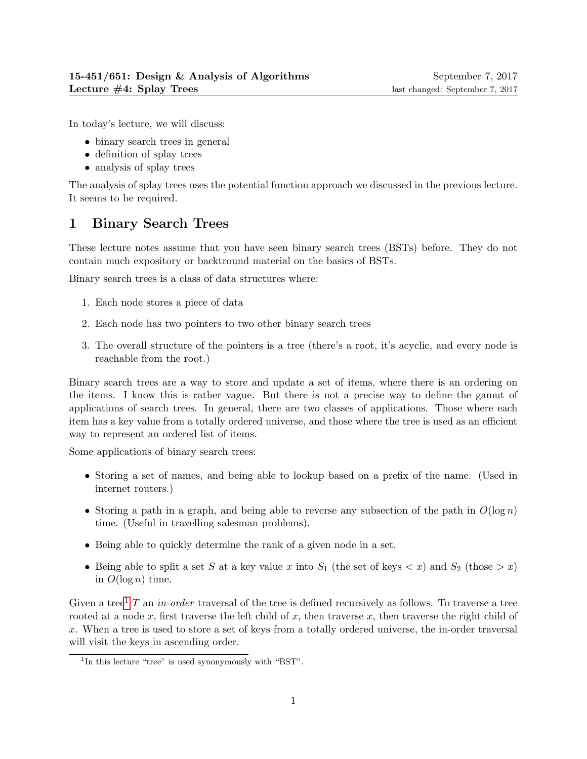In today's lecture, we will discuss:

- binary search trees in general
- definition of splay trees
- analysis of splay trees

The analysis of splay trees uses the potential function approach we discussed in the previous lecture. It seems to be required.

# 1 Binary Search Trees

These lecture notes assume that you have seen binary search trees (BSTs) before. They do not contain much expository or backtround material on the basics of BSTs.

Binary search trees is a class of data structures where:

- 1. Each node stores a piece of data
- 2. Each node has two pointers to two other binary search trees
- 3. The overall structure of the pointers is a tree (there's a root, it's acyclic, and every node is reachable from the root.)

Binary search trees are a way to store and update a set of items, where there is an ordering on the items. I know this is rather vague. But there is not a precise way to define the gamut of applications of search trees. In general, there are two classes of applications. Those where each item has a key value from a totally ordered universe, and those where the tree is used as an efficient way to represent an ordered list of items.

Some applications of binary search trees:

- Storing a set of names, and being able to lookup based on a prefix of the name. (Used in internet routers.)
- Storing a path in a graph, and being able to reverse any subsection of the path in  $O(\log n)$ time. (Useful in travelling salesman problems).
- Being able to quickly determine the rank of a given node in a set.
- Being able to split a set S at a key value x into  $S_1$  (the set of keys  $\langle x \rangle$  and  $S_2$  (those  $\langle x \rangle$ ) in  $O(\log n)$  time.

Given a tree<sup>[1](#page-0-0)</sup> T an *in-order* traversal of the tree is defined recursively as follows. To traverse a tree rooted at a node x, first traverse the left child of x, then traverse x, then traverse the right child of x. When a tree is used to store a set of keys from a totally ordered universe, the in-order traversal will visit the keys in ascending order.

<span id="page-0-0"></span><sup>&</sup>lt;sup>1</sup>In this lecture "tree" is used synonymously with "BST".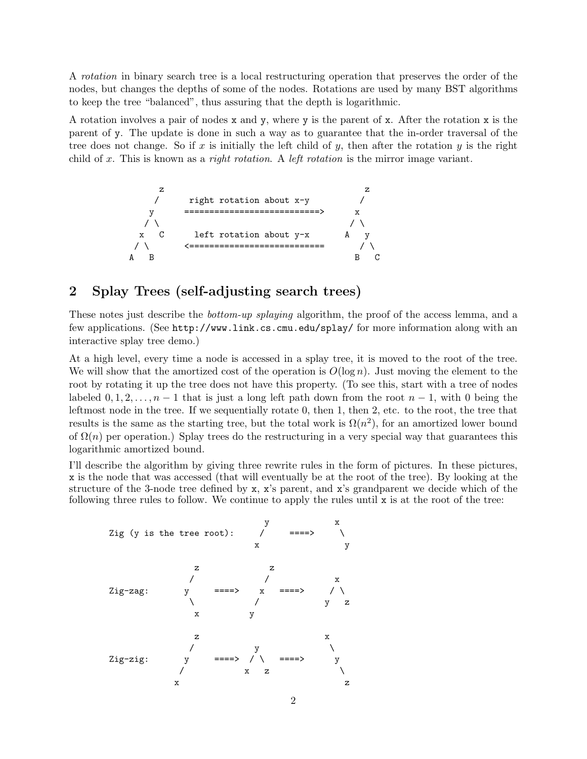A rotation in binary search tree is a local restructuring operation that preserves the order of the nodes, but changes the depths of some of the nodes. Rotations are used by many BST algorithms to keep the tree "balanced", thus assuring that the depth is logarithmic.

A rotation involves a pair of nodes x and y, where y is the parent of x. After the rotation x is the parent of y. The update is done in such a way as to guarantee that the in-order traversal of the tree does not change. So if x is initially the left child of y, then after the rotation y is the right child of x. This is known as a *right rotation*. A *left rotation* is the mirror image variant.



## 2 Splay Trees (self-adjusting search trees)

These notes just describe the *bottom-up splaying* algorithm, the proof of the access lemma, and a few applications. (See http://www.link.cs.cmu.edu/splay/ for more information along with an interactive splay tree demo.)

At a high level, every time a node is accessed in a splay tree, it is moved to the root of the tree. We will show that the amortized cost of the operation is  $O(\log n)$ . Just moving the element to the root by rotating it up the tree does not have this property. (To see this, start with a tree of nodes labeled  $0, 1, 2, \ldots, n-1$  that is just a long left path down from the root  $n-1$ , with 0 being the leftmost node in the tree. If we sequentially rotate 0, then 1, then 2, etc. to the root, the tree that results is the same as the starting tree, but the total work is  $\Omega(n^2)$ , for an amortized lower bound of  $\Omega(n)$  per operation.) Splay trees do the restructuring in a very special way that guarantees this logarithmic amortized bound.

I'll describe the algorithm by giving three rewrite rules in the form of pictures. In these pictures, x is the node that was accessed (that will eventually be at the root of the tree). By looking at the structure of the 3-node tree defined by x, x's parent, and x's grandparent we decide which of the following three rules to follow. We continue to apply the rules until x is at the root of the tree:

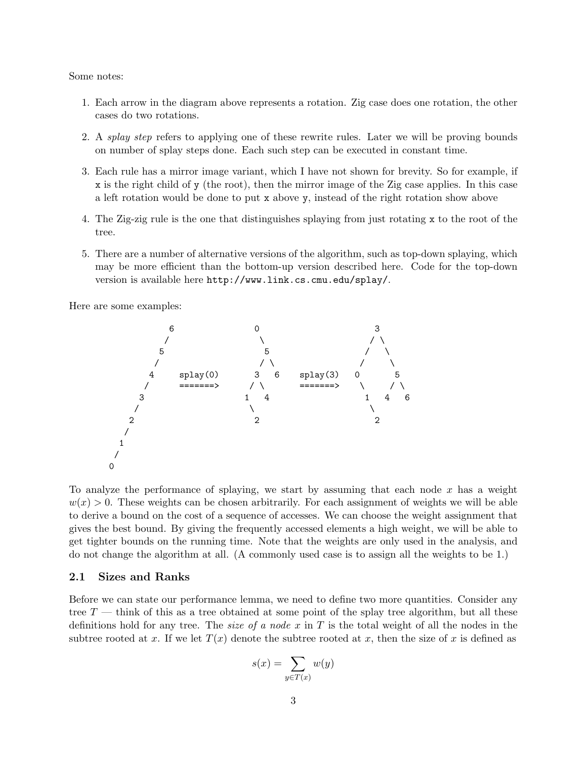Some notes:

- 1. Each arrow in the diagram above represents a rotation. Zig case does one rotation, the other cases do two rotations.
- 2. A splay step refers to applying one of these rewrite rules. Later we will be proving bounds on number of splay steps done. Each such step can be executed in constant time.
- 3. Each rule has a mirror image variant, which I have not shown for brevity. So for example, if x is the right child of y (the root), then the mirror image of the Zig case applies. In this case a left rotation would be done to put x above y, instead of the right rotation show above
- 4. The Zig-zig rule is the one that distinguishes splaying from just rotating x to the root of the tree.
- 5. There are a number of alternative versions of the algorithm, such as top-down splaying, which may be more efficient than the bottom-up version described here. Code for the top-down version is available here http://www.link.cs.cmu.edu/splay/.

Here are some examples:



To analyze the performance of splaying, we start by assuming that each node  $x$  has a weight  $w(x) > 0$ . These weights can be chosen arbitrarily. For each assignment of weights we will be able to derive a bound on the cost of a sequence of accesses. We can choose the weight assignment that gives the best bound. By giving the frequently accessed elements a high weight, we will be able to get tighter bounds on the running time. Note that the weights are only used in the analysis, and do not change the algorithm at all. (A commonly used case is to assign all the weights to be 1.)

#### 2.1 Sizes and Ranks

Before we can state our performance lemma, we need to define two more quantities. Consider any tree  $T$  — think of this as a tree obtained at some point of the splay tree algorithm, but all these definitions hold for any tree. The *size of a node x* in T is the total weight of all the nodes in the subtree rooted at x. If we let  $T(x)$  denote the subtree rooted at x, then the size of x is defined as

$$
s(x) = \sum_{y \in T(x)} w(y)
$$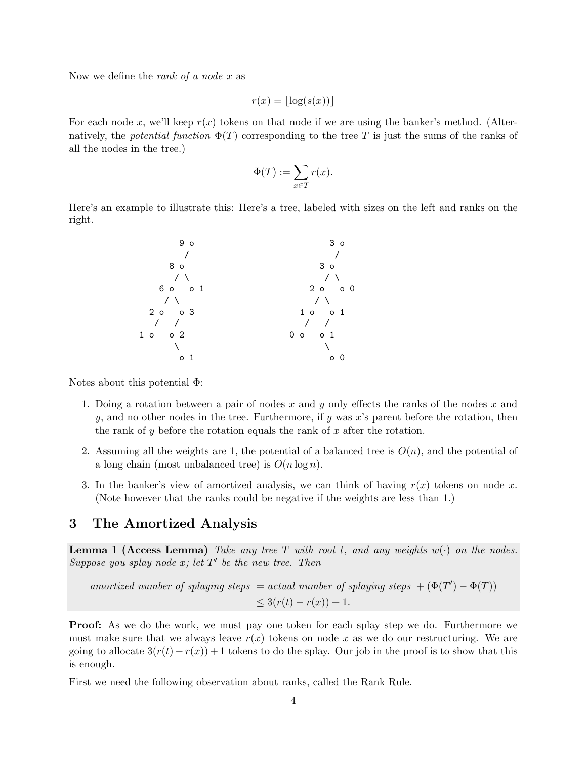Now we define the *rank of a node x* as

$$
r(x) = |\log(s(x))|
$$

For each node x, we'll keep  $r(x)$  tokens on that node if we are using the banker's method. (Alternatively, the potential function  $\Phi(T)$  corresponding to the tree T is just the sums of the ranks of all the nodes in the tree.)

$$
\Phi(T) := \sum_{x \in T} r(x).
$$

Here's an example to illustrate this: Here's a tree, labeled with sizes on the left and ranks on the right.

9 o 3 o / / 8 o 3 o / \ / \ 6 o o 1 2 o o 0 / \ / \ 2 o o 3 1 o o 1 / / / / 1 o o 2 0 o o 1 \ \ o 1 o 0

Notes about this potential Φ:

- 1. Doing a rotation between a pair of nodes x and y only effects the ranks of the nodes x and y, and no other nodes in the tree. Furthermore, if y was x's parent before the rotation, then the rank of y before the rotation equals the rank of x after the rotation.
- 2. Assuming all the weights are 1, the potential of a balanced tree is  $O(n)$ , and the potential of a long chain (most unbalanced tree) is  $O(n \log n)$ .
- 3. In the banker's view of amortized analysis, we can think of having  $r(x)$  tokens on node x. (Note however that the ranks could be negative if the weights are less than 1.)

## 3 The Amortized Analysis

**Lemma 1 (Access Lemma)** Take any tree T with root t, and any weights  $w(\cdot)$  on the nodes. Suppose you splay node  $x$ ; let  $T'$  be the new tree. Then

amortized number of splaying steps = actual number of splaying steps + (
$$
\Phi(T') - \Phi(T)
$$
)  
\n $\leq 3(r(t) - r(x)) + 1.$ 

Proof: As we do the work, we must pay one token for each splay step we do. Furthermore we must make sure that we always leave  $r(x)$  tokens on node x as we do our restructuring. We are going to allocate  $3(r(t) - r(x)) + 1$  tokens to do the splay. Our job in the proof is to show that this is enough.

First we need the following observation about ranks, called the Rank Rule.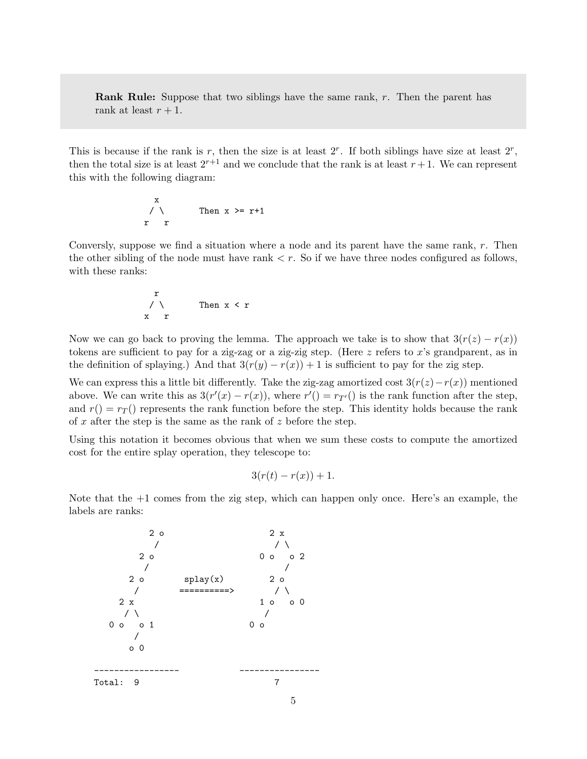**Rank Rule:** Suppose that two siblings have the same rank, r. Then the parent has rank at least  $r + 1$ .

This is because if the rank is r, then the size is at least  $2^r$ . If both siblings have size at least  $2^r$ , then the total size is at least  $2^{r+1}$  and we conclude that the rank is at least  $r+1$ . We can represent this with the following diagram:

$$
\begin{array}{ccc}\nx & & & \\
\diagup \diagdown & & & \\
r & r & & \\
\end{array}
$$
 Then  $x \geq r+1$ 

Conversly, suppose we find a situation where a node and its parent have the same rank,  $r$ . Then the other sibling of the node must have rank  $\lt r$ . So if we have three nodes configured as follows, with these ranks:

$$
\begin{array}{ccc}\n & r \\
 \diagup \diagdown \\
 & x & r\n \end{array}
$$
 Then  $x < r$ 

Now we can go back to proving the lemma. The approach we take is to show that  $3(r(z) - r(x))$ tokens are sufficient to pay for a zig-zag or a zig-zig step. (Here  $z$  refers to  $x$ 's grandparent, as in the definition of splaying.) And that  $3(r(y) - r(x)) + 1$  is sufficient to pay for the zig step.

We can express this a little bit differently. Take the zig-zag amortized cost  $3(r(z)-r(x))$  mentioned above. We can write this as  $3(r'(x) - r(x))$ , where  $r'(x) = r_{T'}(x)$  is the rank function after the step, and  $r() = r_T()$  represents the rank function before the step. This identity holds because the rank of x after the step is the same as the rank of  $z$  before the step.

Using this notation it becomes obvious that when we sum these costs to compute the amortized cost for the entire splay operation, they telescope to:

$$
3(r(t) - r(x)) + 1.
$$

Note that the +1 comes from the zig step, which can happen only once. Here's an example, the labels are ranks:

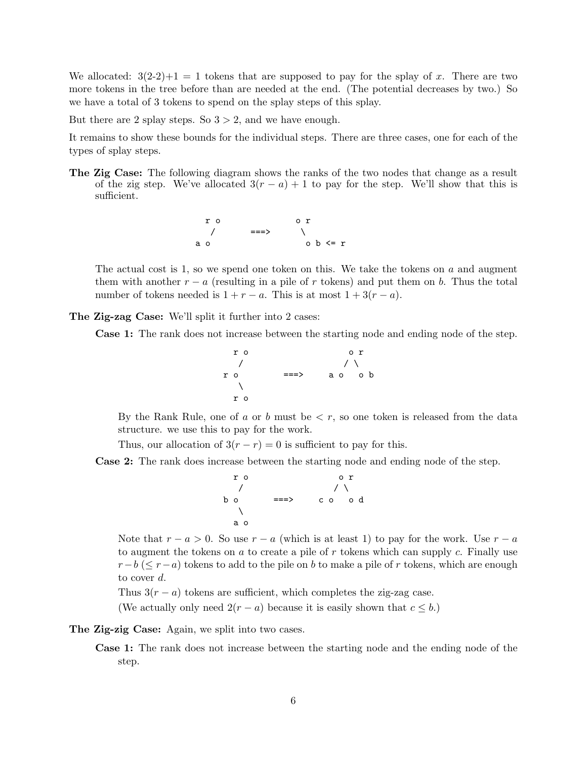We allocated:  $3(2-2)+1=1$  tokens that are supposed to pay for the splay of x. There are two more tokens in the tree before than are needed at the end. (The potential decreases by two.) So we have a total of 3 tokens to spend on the splay steps of this splay.

But there are 2 splay steps. So  $3 > 2$ , and we have enough.

It remains to show these bounds for the individual steps. There are three cases, one for each of the types of splay steps.

The Zig Case: The following diagram shows the ranks of the two nodes that change as a result of the zig step. We've allocated  $3(r - a) + 1$  to pay for the step. We'll show that this is sufficient.



The actual cost is 1, so we spend one token on this. We take the tokens on  $a$  and augment them with another  $r - a$  (resulting in a pile of r tokens) and put them on b. Thus the total number of tokens needed is  $1 + r - a$ . This is at most  $1 + 3(r - a)$ .

### The Zig-zag Case: We'll split it further into 2 cases:

Case 1: The rank does not increase between the starting node and ending node of the step.

$$
\begin{array}{ccccc}\n & r & o & r \\
 & \nearrow & & \nearrow \\
r & o & & & \searrow \\
 & \searrow & & & \searrow \\
 & \searrow & & & \searrow \\
 & r & o & & & \end{array}
$$

By the Rank Rule, one of a or b must be  $\lt r$ , so one token is released from the data structure. we use this to pay for the work.

Thus, our allocation of  $3(r - r) = 0$  is sufficient to pay for this.

Case 2: The rank does increase between the starting node and ending node of the step.

$$
\begin{array}{ccccc}\n & & & & \circ & r \\
 & \nearrow & & & \nearrow \\
 & \circ & & & \nearrow \\
 & \circ & & & \searrow \\
 & \circ & & & \circ & \circ \\
 & \searrow & & & \circ & \circ \\
 & \searrow & & & \circ & \circ\n\end{array}
$$

Note that  $r - a > 0$ . So use  $r - a$  (which is at least 1) to pay for the work. Use  $r - a$ to augment the tokens on  $a$  to create a pile of  $r$  tokens which can supply  $c$ . Finally use  $r-b$  ( $\leq r-a$ ) tokens to add to the pile on b to make a pile of r tokens, which are enough to cover d.

Thus  $3(r - a)$  tokens are sufficient, which completes the zig-zag case.

(We actually only need  $2(r - a)$  because it is easily shown that  $c \leq b$ .)

### The Zig-zig Case: Again, we split into two cases.

Case 1: The rank does not increase between the starting node and the ending node of the step.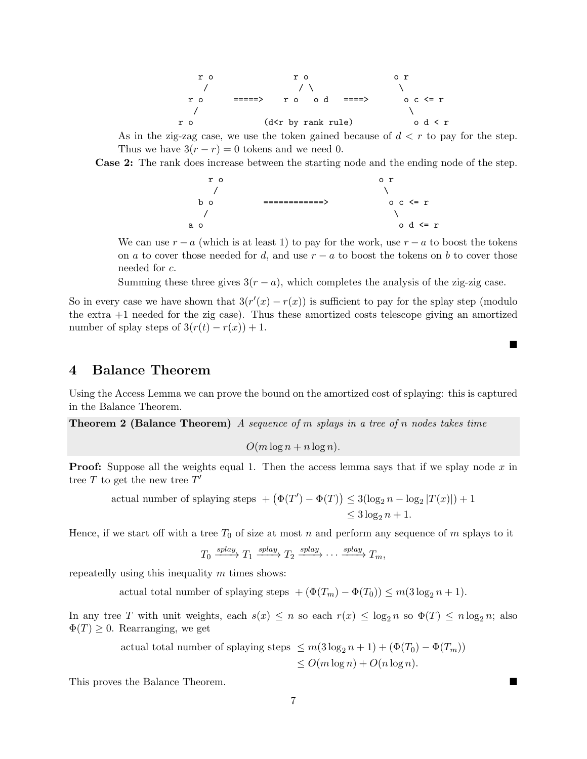

As in the zig-zag case, we use the token gained because of  $d < r$  to pay for the step. Thus we have  $3(r - r) = 0$  tokens and we need 0.

Case 2: The rank does increase between the starting node and the ending node of the step.



We can use  $r - a$  (which is at least 1) to pay for the work, use  $r - a$  to boost the tokens on a to cover those needed for d, and use  $r - a$  to boost the tokens on b to cover those needed for c.

■

Summing these three gives  $3(r - a)$ , which completes the analysis of the zig-zig case.

So in every case we have shown that  $3(r'(x) - r(x))$  is sufficient to pay for the splay step (modulo the extra +1 needed for the zig case). Thus these amortized costs telescope giving an amortized number of splay steps of  $3(r(t) - r(x)) + 1$ .

# 4 Balance Theorem

Using the Access Lemma we can prove the bound on the amortized cost of splaying: this is captured in the Balance Theorem.

**Theorem 2 (Balance Theorem)** A sequence of m splays in a tree of n nodes takes time

 $O(m \log n + n \log n)$ .

**Proof:** Suppose all the weights equal 1. Then the access lemma says that if we splay node x in tree T to get the new tree  $T'$ 

actual number of splaying steps 
$$
+ (\Phi(T') - \Phi(T)) \leq 3(\log_2 n - \log_2 |T(x)|) + 1
$$

$$
\leq 3 \log_2 n + 1.
$$

Hence, if we start off with a tree  $T_0$  of size at most n and perform any sequence of m splays to it

$$
T_0 \xrightarrow{splay} T_1 \xrightarrow{splay} T_2 \xrightarrow{splay} \cdots \xrightarrow{splay} T_m
$$

repeatedly using this inequality  $m$  times shows:

actual total number of splaying steps  $+ (\Phi(T_m) - \Phi(T_0)) \leq m(3 \log_2 n + 1)$ .

In any tree T with unit weights, each  $s(x) \leq n$  so each  $r(x) \leq \log_2 n$  so  $\Phi(T) \leq n \log_2 n$ ; also  $\Phi(T) \geq 0$ . Rearranging, we get

> actual total number of splaying steps  $\leq m(3\log_2 n + 1) + (\Phi(T_0) - \Phi(T_m))$  $\leq O(m \log n) + O(n \log n).$

This proves the Balance Theorem.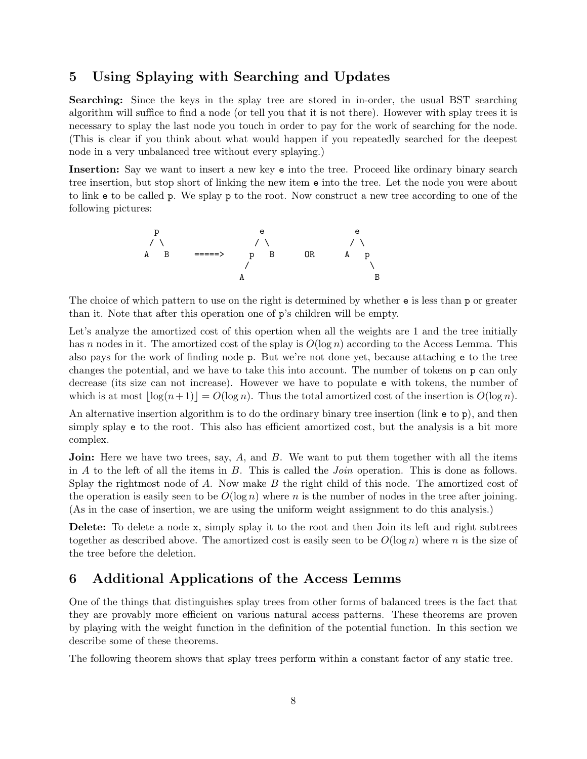## 5 Using Splaying with Searching and Updates

Searching: Since the keys in the splay tree are stored in in-order, the usual BST searching algorithm will suffice to find a node (or tell you that it is not there). However with splay trees it is necessary to splay the last node you touch in order to pay for the work of searching for the node. (This is clear if you think about what would happen if you repeatedly searched for the deepest node in a very unbalanced tree without every splaying.)

Insertion: Say we want to insert a new key e into the tree. Proceed like ordinary binary search tree insertion, but stop short of linking the new item e into the tree. Let the node you were about to link e to be called p. We splay p to the root. Now construct a new tree according to one of the following pictures:



The choice of which pattern to use on the right is determined by whether **e** is less than **p** or greater than it. Note that after this operation one of p's children will be empty.

Let's analyze the amortized cost of this opertion when all the weights are 1 and the tree initially has n nodes in it. The amortized cost of the splay is  $O(\log n)$  according to the Access Lemma. This also pays for the work of finding node p. But we're not done yet, because attaching e to the tree changes the potential, and we have to take this into account. The number of tokens on p can only decrease (its size can not increase). However we have to populate e with tokens, the number of which is at most  $\log(n+1) = O(\log n)$ . Thus the total amortized cost of the insertion is  $O(\log n)$ .

An alternative insertion algorithm is to do the ordinary binary tree insertion (link e to p), and then simply splay e to the root. This also has efficient amortized cost, but the analysis is a bit more complex.

**Join:** Here we have two trees, say, A, and B. We want to put them together with all the items in  $A$  to the left of all the items in  $B$ . This is called the *Join* operation. This is done as follows. Splay the rightmost node of  $A$ . Now make  $B$  the right child of this node. The amortized cost of the operation is easily seen to be  $O(\log n)$  where n is the number of nodes in the tree after joining. (As in the case of insertion, we are using the uniform weight assignment to do this analysis.)

Delete: To delete a node x, simply splay it to the root and then Join its left and right subtrees together as described above. The amortized cost is easily seen to be  $O(\log n)$  where n is the size of the tree before the deletion.

## 6 Additional Applications of the Access Lemms

One of the things that distinguishes splay trees from other forms of balanced trees is the fact that they are provably more efficient on various natural access patterns. These theorems are proven by playing with the weight function in the definition of the potential function. In this section we describe some of these theorems.

The following theorem shows that splay trees perform within a constant factor of any static tree.